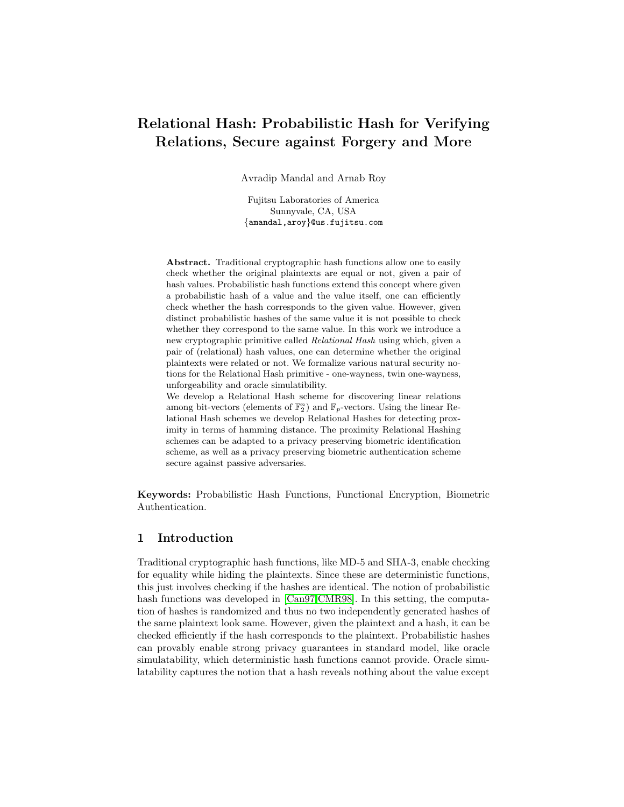# Relational Hash: Probabilistic Hash for Verifying Relations, Secure against Forgery and More

Avradip Mandal and Arnab Roy

Fujitsu Laboratories of America Sunnyvale, CA, USA {amandal,aroy}@us.fujitsu.com

Abstract. Traditional cryptographic hash functions allow one to easily check whether the original plaintexts are equal or not, given a pair of hash values. Probabilistic hash functions extend this concept where given a probabilistic hash of a value and the value itself, one can efficiently check whether the hash corresponds to the given value. However, given distinct probabilistic hashes of the same value it is not possible to check whether they correspond to the same value. In this work we introduce a new cryptographic primitive called Relational Hash using which, given a pair of (relational) hash values, one can determine whether the original plaintexts were related or not. We formalize various natural security notions for the Relational Hash primitive - one-wayness, twin one-wayness, unforgeability and oracle simulatibility. We develop a Relational Hash scheme for discovering linear relations

among bit-vectors (elements of  $\mathbb{F}_2^n$ ) and  $\mathbb{F}_p$ -vectors. Using the linear Relational Hash schemes we develop Relational Hashes for detecting proximity in terms of hamming distance. The proximity Relational Hashing schemes can be adapted to a privacy preserving biometric identification scheme, as well as a privacy preserving biometric authentication scheme secure against passive adversaries.

Keywords: Probabilistic Hash Functions, Functional Encryption, Biometric Authentication.

# 1 Introduction

Traditional cryptographic hash functions, like MD-5 and SHA-3, enable checking for equality while hiding the plaintexts. Since these are deterministic functions, this just involves checking if the hashes are identical. The notion of probabilistic hash functions was developed in [\[Can97,](#page-18-0)[CMR98\]](#page-18-1). In this setting, the computation of hashes is randomized and thus no two independently generated hashes of the same plaintext look same. However, given the plaintext and a hash, it can be checked efficiently if the hash corresponds to the plaintext. Probabilistic hashes can provably enable strong privacy guarantees in standard model, like oracle simulatability, which deterministic hash functions cannot provide. Oracle simulatability captures the notion that a hash reveals nothing about the value except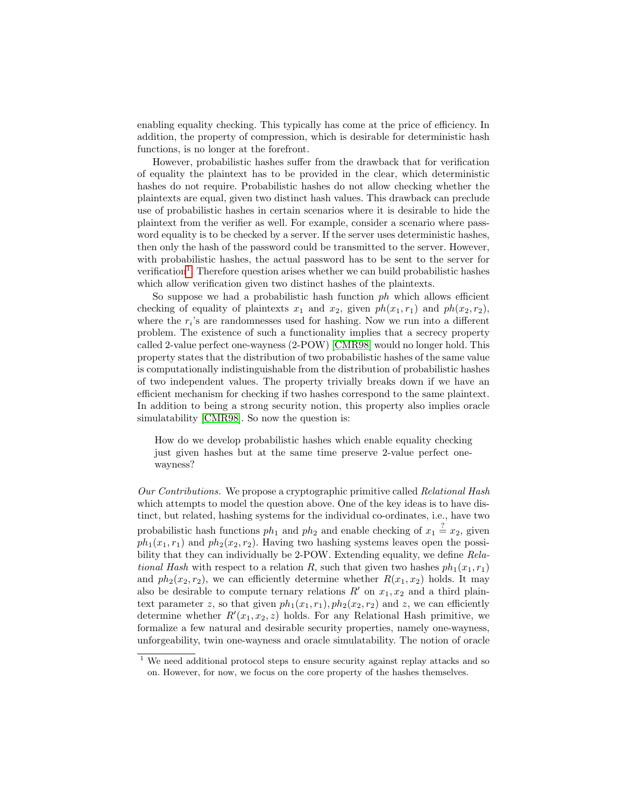enabling equality checking. This typically has come at the price of efficiency. In addition, the property of compression, which is desirable for deterministic hash functions, is no longer at the forefront.

However, probabilistic hashes suffer from the drawback that for verification of equality the plaintext has to be provided in the clear, which deterministic hashes do not require. Probabilistic hashes do not allow checking whether the plaintexts are equal, given two distinct hash values. This drawback can preclude use of probabilistic hashes in certain scenarios where it is desirable to hide the plaintext from the verifier as well. For example, consider a scenario where password equality is to be checked by a server. If the server uses deterministic hashes, then only the hash of the password could be transmitted to the server. However, with probabilistic hashes, the actual password has to be sent to the server for verification<sup>[1](#page-1-0)</sup>. Therefore question arises whether we can build probabilistic hashes which allow verification given two distinct hashes of the plaintexts.

So suppose we had a probabilistic hash function  $ph$  which allows efficient checking of equality of plaintexts  $x_1$  and  $x_2$ , given  $ph(x_1, r_1)$  and  $ph(x_2, r_2)$ , where the  $r_i$ 's are randomnesses used for hashing. Now we run into a different problem. The existence of such a functionality implies that a secrecy property called 2-value perfect one-wayness (2-POW) [\[CMR98\]](#page-18-1) would no longer hold. This property states that the distribution of two probabilistic hashes of the same value is computationally indistinguishable from the distribution of probabilistic hashes of two independent values. The property trivially breaks down if we have an efficient mechanism for checking if two hashes correspond to the same plaintext. In addition to being a strong security notion, this property also implies oracle simulatability [\[CMR98\]](#page-18-1). So now the question is:

How do we develop probabilistic hashes which enable equality checking just given hashes but at the same time preserve 2-value perfect onewayness?

Our Contributions. We propose a cryptographic primitive called Relational Hash which attempts to model the question above. One of the key ideas is to have distinct, but related, hashing systems for the individual co-ordinates, i.e., have two probabilistic hash functions  $ph_1$  and  $ph_2$  and enable checking of  $x_1 \stackrel{?}{=} x_2$ , given  $ph_1(x_1, r_1)$  and  $ph_2(x_2, r_2)$ . Having two hashing systems leaves open the possibility that they can individually be 2-POW. Extending equality, we define Relational Hash with respect to a relation R, such that given two hashes  $ph_1(x_1, r_1)$ and  $ph_2(x_2, r_2)$ , we can efficiently determine whether  $R(x_1, x_2)$  holds. It may also be desirable to compute ternary relations  $R'$  on  $x_1, x_2$  and a third plaintext parameter z, so that given  $ph_1(x_1, r_1)$ ,  $ph_2(x_2, r_2)$  and z, we can efficiently determine whether  $R'(x_1, x_2, z)$  holds. For any Relational Hash primitive, we formalize a few natural and desirable security properties, namely one-wayness, unforgeability, twin one-wayness and oracle simulatability. The notion of oracle

<span id="page-1-0"></span><sup>1</sup> We need additional protocol steps to ensure security against replay attacks and so on. However, for now, we focus on the core property of the hashes themselves.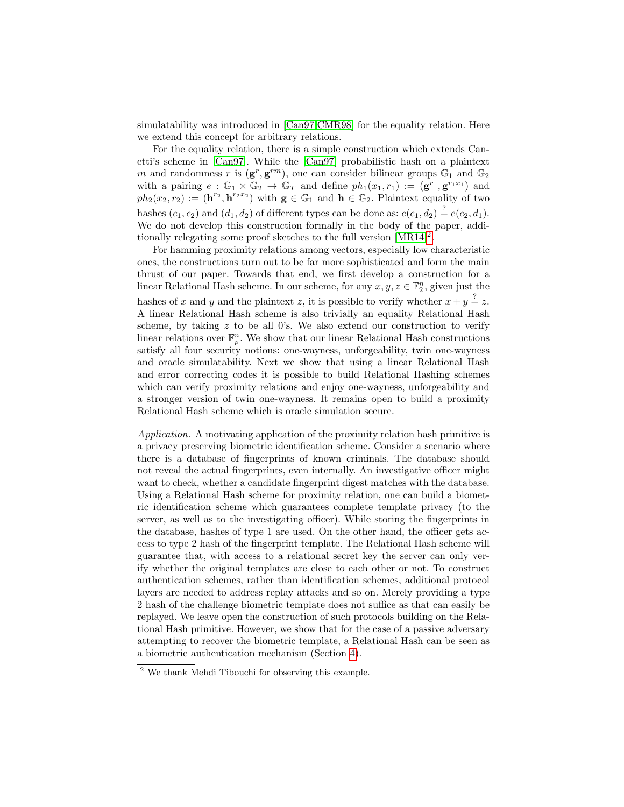simulatability was introduced in [\[Can97](#page-18-0)[,CMR98\]](#page-18-1) for the equality relation. Here we extend this concept for arbitrary relations.

For the equality relation, there is a simple construction which extends Canetti's scheme in [\[Can97\]](#page-18-0). While the [\[Can97\]](#page-18-0) probabilistic hash on a plaintext m and randomness r is  $(g^r, g^{rm})$ , one can consider bilinear groups  $\mathbb{G}_1$  and  $\mathbb{G}_2$ with a pairing  $e : \mathbb{G}_1 \times \mathbb{G}_2 \to \mathbb{G}_T$  and define  $ph_1(x_1, r_1) := (\mathbf{g}^{r_1}, \mathbf{g}^{r_1 x_1})$  and  $ph_2(x_2, r_2) := (\mathbf{h}^{r_2}, \mathbf{h}^{r_2 x_2})$  with  $\mathbf{g} \in \mathbb{G}_1$  and  $\mathbf{h} \in \mathbb{G}_2$ . Plaintext equality of two hashes  $(c_1, c_2)$  and  $(d_1, d_2)$  of different types can be done as:  $e(c_1, d_2) \stackrel{?}{=} e(c_2, d_1)$ . We do not develop this construction formally in the body of the paper, addi-tionally relegating some proof sketches to the full version [\[MR14\]](#page-19-0)<sup>[2](#page-2-0)</sup>.

For hamming proximity relations among vectors, especially low characteristic ones, the constructions turn out to be far more sophisticated and form the main thrust of our paper. Towards that end, we first develop a construction for a linear Relational Hash scheme. In our scheme, for any  $x, y, z \in \mathbb{F}_2^n$ , given just the hashes of x and y and the plaintext z, it is possible to verify whether  $x + y = z$ . A linear Relational Hash scheme is also trivially an equality Relational Hash scheme, by taking  $z$  to be all 0's. We also extend our construction to verify linear relations over  $\mathbb{F}_p^n$ . We show that our linear Relational Hash constructions satisfy all four security notions: one-wayness, unforgeability, twin one-wayness and oracle simulatability. Next we show that using a linear Relational Hash and error correcting codes it is possible to build Relational Hashing schemes which can verify proximity relations and enjoy one-wayness, unforgeability and a stronger version of twin one-wayness. It remains open to build a proximity Relational Hash scheme which is oracle simulation secure.

Application. A motivating application of the proximity relation hash primitive is a privacy preserving biometric identification scheme. Consider a scenario where there is a database of fingerprints of known criminals. The database should not reveal the actual fingerprints, even internally. An investigative officer might want to check, whether a candidate fingerprint digest matches with the database. Using a Relational Hash scheme for proximity relation, one can build a biometric identification scheme which guarantees complete template privacy (to the server, as well as to the investigating officer). While storing the fingerprints in the database, hashes of type 1 are used. On the other hand, the officer gets access to type 2 hash of the fingerprint template. The Relational Hash scheme will guarantee that, with access to a relational secret key the server can only verify whether the original templates are close to each other or not. To construct authentication schemes, rather than identification schemes, additional protocol layers are needed to address replay attacks and so on. Merely providing a type 2 hash of the challenge biometric template does not suffice as that can easily be replayed. We leave open the construction of such protocols building on the Relational Hash primitive. However, we show that for the case of a passive adversary attempting to recover the biometric template, a Relational Hash can be seen as a biometric authentication mechanism (Section [4\)](#page-12-0).

<span id="page-2-0"></span><sup>2</sup> We thank Mehdi Tibouchi for observing this example.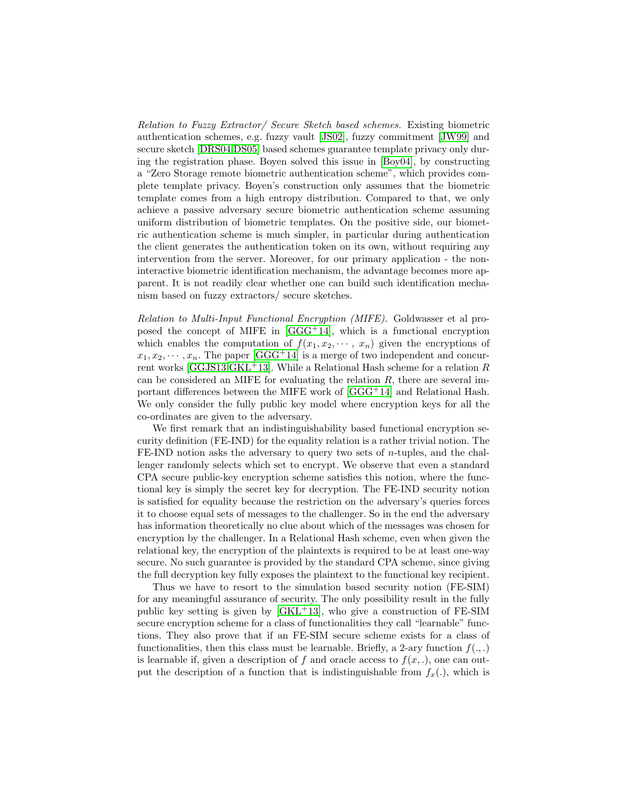Relation to Fuzzy Extractor/ Secure Sketch based schemes. Existing biometric authentication schemes, e.g. fuzzy vault [\[JS02\]](#page-18-2), fuzzy commitment [\[JW99\]](#page-18-3) and secure sketch [\[DRS04](#page-18-4)[,DS05\]](#page-18-5) based schemes guarantee template privacy only during the registration phase. Boyen solved this issue in [\[Boy04\]](#page-18-6), by constructing a "Zero Storage remote biometric authentication scheme", which provides complete template privacy. Boyen's construction only assumes that the biometric template comes from a high entropy distribution. Compared to that, we only achieve a passive adversary secure biometric authentication scheme assuming uniform distribution of biometric templates. On the positive side, our biometric authentication scheme is much simpler, in particular during authentication the client generates the authentication token on its own, without requiring any intervention from the server. Moreover, for our primary application - the noninteractive biometric identification mechanism, the advantage becomes more apparent. It is not readily clear whether one can build such identification mechanism based on fuzzy extractors/ secure sketches.

Relation to Multi-Input Functional Encryption (MIFE). Goldwasser et al proposed the concept of MIFE in  $[GGG<sup>+</sup>14]$  $[GGG<sup>+</sup>14]$ , which is a functional encryption which enables the computation of  $f(x_1, x_2, \dots, x_n)$  given the encryptions of  $x_1, x_2, \dots, x_n$ . The paper [\[GGG](#page-18-7)<sup>+</sup>14] is a merge of two independent and concur-rent works [\[GGJS13,](#page-18-8) [GKL](#page-18-9)<sup>+</sup>13]. While a Relational Hash scheme for a relation R can be considered an MIFE for evaluating the relation  $R$ , there are several important differences between the MIFE work of  $[GGG<sup>+</sup>14]$  $[GGG<sup>+</sup>14]$  and Relational Hash. We only consider the fully public key model where encryption keys for all the co-ordinates are given to the adversary.

We first remark that an indistinguishability based functional encryption security definition (FE-IND) for the equality relation is a rather trivial notion. The FE-IND notion asks the adversary to query two sets of  $n$ -tuples, and the challenger randomly selects which set to encrypt. We observe that even a standard CPA secure public-key encryption scheme satisfies this notion, where the functional key is simply the secret key for decryption. The FE-IND security notion is satisfied for equality because the restriction on the adversary's queries forces it to choose equal sets of messages to the challenger. So in the end the adversary has information theoretically no clue about which of the messages was chosen for encryption by the challenger. In a Relational Hash scheme, even when given the relational key, the encryption of the plaintexts is required to be at least one-way secure. No such guarantee is provided by the standard CPA scheme, since giving the full decryption key fully exposes the plaintext to the functional key recipient.

Thus we have to resort to the simulation based security notion (FE-SIM) for any meaningful assurance of security. The only possibility result in the fully public key setting is given by  $[GKL+13]$  $[GKL+13]$ , who give a construction of FE-SIM secure encryption scheme for a class of functionalities they call "learnable" functions. They also prove that if an FE-SIM secure scheme exists for a class of functionalities, then this class must be learnable. Briefly, a 2-ary function  $f(.,.)$ is learnable if, given a description of f and oracle access to  $f(x, \cdot)$ , one can output the description of a function that is indistinguishable from  $f_x(.)$ , which is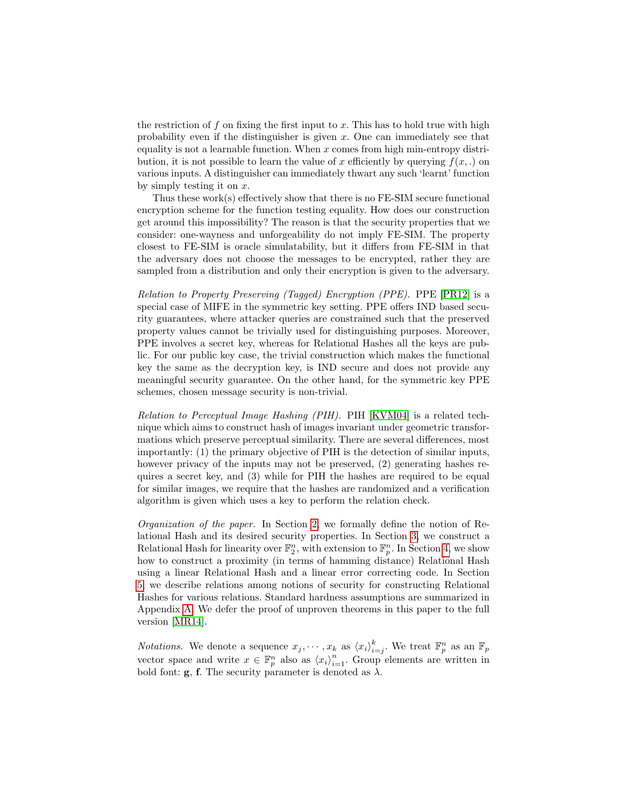the restriction of f on fixing the first input to x. This has to hold true with high probability even if the distinguisher is given  $x$ . One can immediately see that equality is not a learnable function. When  $x$  comes from high min-entropy distribution, it is not possible to learn the value of x efficiently by querying  $f(x,.)$  on various inputs. A distinguisher can immediately thwart any such 'learnt' function by simply testing it on  $x$ .

Thus these work(s) effectively show that there is no FE-SIM secure functional encryption scheme for the function testing equality. How does our construction get around this impossibility? The reason is that the security properties that we consider: one-wayness and unforgeability do not imply FE-SIM. The property closest to FE-SIM is oracle simulatability, but it differs from FE-SIM in that the adversary does not choose the messages to be encrypted, rather they are sampled from a distribution and only their encryption is given to the adversary.

Relation to Property Preserving (Tagged) Encryption (PPE). PPE [\[PR12\]](#page-19-1) is a special case of MIFE in the symmetric key setting. PPE offers IND based security guarantees, where attacker queries are constrained such that the preserved property values cannot be trivially used for distinguishing purposes. Moreover, PPE involves a secret key, whereas for Relational Hashes all the keys are public. For our public key case, the trivial construction which makes the functional key the same as the decryption key, is IND secure and does not provide any meaningful security guarantee. On the other hand, for the symmetric key PPE schemes, chosen message security is non-trivial.

Relation to Perceptual Image Hashing (PIH). PIH [\[KVM04\]](#page-18-10) is a related technique which aims to construct hash of images invariant under geometric transformations which preserve perceptual similarity. There are several differences, most importantly: (1) the primary objective of PIH is the detection of similar inputs, however privacy of the inputs may not be preserved, (2) generating hashes requires a secret key, and (3) while for PIH the hashes are required to be equal for similar images, we require that the hashes are randomized and a verification algorithm is given which uses a key to perform the relation check.

Organization of the paper. In Section [2,](#page-5-0) we formally define the notion of Relational Hash and its desired security properties. In Section [3,](#page-8-0) we construct a Relational Hash for linearity over  $\mathbb{F}_2^n$ , with extension to  $\mathbb{F}_p^n$ . In Section [4,](#page-10-0) we show how to construct a proximity (in terms of hamming distance) Relational Hash using a linear Relational Hash and a linear error correcting code. In Section [5,](#page-13-0) we describe relations among notions of security for constructing Relational Hashes for various relations. Standard hardness assumptions are summarized in Appendix [A.](#page-19-2) We defer the proof of unproven theorems in this paper to the full version [\[MR14\]](#page-19-0).

*Notations.* We denote a sequence  $x_j, \dots, x_k$  as  $\langle x_i \rangle_{i=j}^k$ . We treat  $\mathbb{F}_p^n$  as an  $\mathbb{F}_p$ vector space and write  $x \in \mathbb{F}_p^n$  also as  $\langle x_i \rangle_{i=1}^n$ . Group elements are written in bold font:  $\mathbf{g}$ ,  $\mathbf{f}$ . The security parameter is denoted as  $\lambda$ .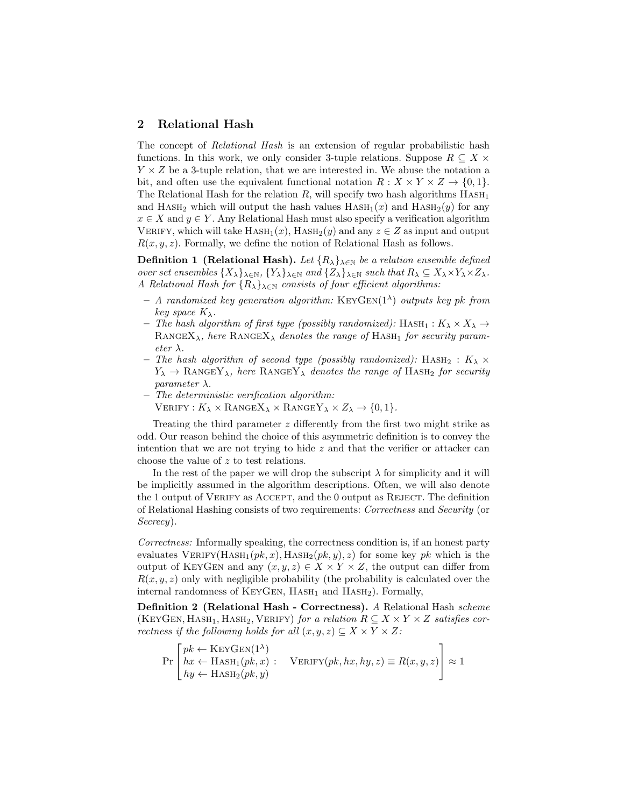# <span id="page-5-0"></span>2 Relational Hash

The concept of Relational Hash is an extension of regular probabilistic hash functions. In this work, we only consider 3-tuple relations. Suppose  $R \subseteq X$  $Y \times Z$  be a 3-tuple relation, that we are interested in. We abuse the notation a bit, and often use the equivalent functional notation  $R: X \times Y \times Z \rightarrow \{0, 1\}.$ The Relational Hash for the relation  $R$ , will specify two hash algorithms  $HASH_1$ and HASH<sub>2</sub> which will output the hash values  $HASH_1(x)$  and  $HASH_2(y)$  for any  $x \in X$  and  $y \in Y$ . Any Relational Hash must also specify a verification algorithm VERIFY, which will take  $HASH_1(x)$ ,  $HASH_2(y)$  and any  $z \in Z$  as input and output  $R(x, y, z)$ . Formally, we define the notion of Relational Hash as follows.

**Definition 1 (Relational Hash).** Let  $\{R_{\lambda}\}_{\lambda \in \mathbb{N}}$  be a relation ensemble defined over set ensembles  $\{X_{\lambda}\}_{\lambda \in \mathbb{N}}$ ,  $\{Y_{\lambda}\}_{\lambda \in \mathbb{N}}$  and  $\{Z_{\lambda}\}_{\lambda \in \mathbb{N}}$  such that  $R_{\lambda} \subseteq X_{\lambda} \times Y_{\lambda} \times Z_{\lambda}$ . A Relational Hash for  $\{R_{\lambda}\}_{\lambda\in\mathbb{N}}$  consists of four efficient algorithms:

- $-$  A randomized key generation algorithm: KEYGEN(1<sup> $\lambda$ </sup>) outputs key pk from key space  $K_{\lambda}$ .
- The hash algorithm of first type (possibly randomized):  $HASH_1 : K_\lambda \times X_\lambda \rightarrow$ RANGEX<sub> $\lambda$ </sub>, here RANGEX<sub> $\lambda$ </sub> denotes the range of HASH<sub>1</sub> for security param- $\epsilon$ ter  $\lambda$ .
- The hash algorithm of second type (possibly randomized): HASH<sub>2</sub> :  $K_{\lambda} \times$  $Y_{\lambda} \rightarrow$  RANGEY<sub> $\lambda$ </sub>, here RANGEY<sub> $\lambda$ </sub> denotes the range of HASH<sub>2</sub> for security parameter  $\lambda$ .
- The deterministic verification algorithm:
	- VERIFY :  $K_{\lambda} \times \text{Range} X_{\lambda} \times \text{Range} Y_{\lambda} \times Z_{\lambda} \rightarrow \{0,1\}.$

Treating the third parameter  $z$  differently from the first two might strike as odd. Our reason behind the choice of this asymmetric definition is to convey the intention that we are not trying to hide  $z$  and that the verifier or attacker can choose the value of z to test relations.

In the rest of the paper we will drop the subscript  $\lambda$  for simplicity and it will be implicitly assumed in the algorithm descriptions. Often, we will also denote the 1 output of VERIFY as ACCEPT, and the 0 output as REJECT. The definition of Relational Hashing consists of two requirements: Correctness and Security (or Secrecy).

Correctness: Informally speaking, the correctness condition is, if an honest party evaluates  $VERIFY(HASH_1(pk, x), HASH_2(pk, y), z)$  for some key pk which is the output of KEYGEN and any  $(x, y, z) \in X \times Y \times Z$ , the output can differ from  $R(x, y, z)$  only with negligible probability (the probability is calculated over the internal randomness of  $KEYGEN$ ,  $HASH_1$  and  $HASH_2$ ). Formally,

Definition 2 (Relational Hash - Correctness). A Relational Hash scheme (KEYGEN, HASH<sub>1</sub>, HASH<sub>2</sub>, VERIFY) for a relation  $R \subseteq X \times Y \times Z$  satisfies correctness if the following holds for all  $(x, y, z) \subseteq X \times Y \times Z$ :

<span id="page-5-1"></span>
$$
\Pr\begin{bmatrix} pk \leftarrow \text{KEYGEN}(1^{\lambda}) \\ hx \leftarrow \text{HASH}_1(pk, x) : & \text{VERIFY}(pk, hx, hy, z) \equiv R(x, y, z) \\ hy \leftarrow \text{HASH}_2(pk, y) \end{bmatrix} \approx 1
$$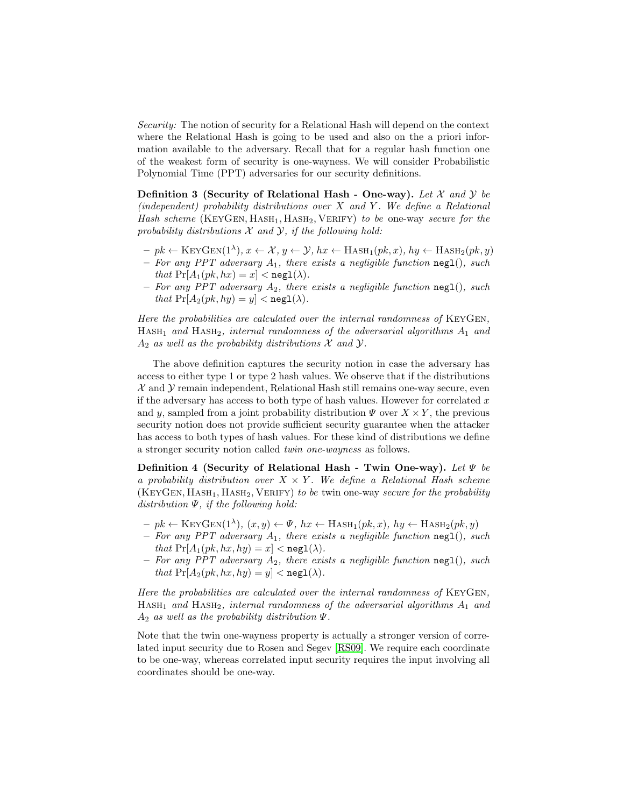Security: The notion of security for a Relational Hash will depend on the context where the Relational Hash is going to be used and also on the a priori information available to the adversary. Recall that for a regular hash function one of the weakest form of security is one-wayness. We will consider Probabilistic Polynomial Time (PPT) adversaries for our security definitions.

Definition 3 (Security of Relational Hash - One-way). Let  $X$  and  $Y$  be (independent) probability distributions over  $X$  and  $Y$ . We define a Relational Hash scheme  $(KEYGEN, HASH<sub>1</sub>, HASH<sub>2</sub>, VERIFY)$  to be one-way secure for the probability distributions  $X$  and  $Y$ , if the following hold:

- $pk \leftarrow \text{KFYGEN}(1^{\lambda}), x \leftarrow \mathcal{X}, y \leftarrow \mathcal{Y}, hx \leftarrow \text{HASH}_1(pk, x), hy \leftarrow \text{HASH}_2(pk, y)$ – For any PPT adversary  $A_1$ , there exists a negligible function  $\texttt{negl}()$ , such that  $Pr[A_1(pk, hx) = x] < neg1(\lambda)$ .
- For any PPT adversary  $A_2$ , there exists a negligible function negl(), such that  $Pr[A_2(pk, hy) = y] < neg1(\lambda)$ .

Here the probabilities are calculated over the internal randomness of KeyGen,  $HASH_1$  and  $HASH_2$ , internal randomness of the adversarial algorithms  $A_1$  and  $A_2$  as well as the probability distributions X and Y.

The above definition captures the security notion in case the adversary has access to either type 1 or type 2 hash values. We observe that if the distributions  $\mathcal X$  and  $\mathcal Y$  remain independent, Relational Hash still remains one-way secure, even if the adversary has access to both type of hash values. However for correlated  $x$ and y, sampled from a joint probability distribution  $\Psi$  over  $X \times Y$ , the previous security notion does not provide sufficient security guarantee when the attacker has access to both types of hash values. For these kind of distributions we define a stronger security notion called twin one-wayness as follows.

<span id="page-6-0"></span>Definition 4 (Security of Relational Hash - Twin One-way). Let  $\Psi$  be a probability distribution over  $X \times Y$ . We define a Relational Hash scheme  $(KEYGEN, HASH<sub>1</sub>, HASH<sub>2</sub>, VERIFY)$  to be twin one-way secure for the probability distribution  $\Psi$ , if the following hold:

- $pk \leftarrow \text{KeyGen}(1^{\lambda}), (x, y) \leftarrow \Psi, hx \leftarrow \text{HASH}_1(pk, x), hy \leftarrow \text{HASH}_2(pk, y)$
- For any PPT adversary  $A_1$ , there exists a negligible function negl(), such that  $Pr[A_1(pk, hx, hy) = x] < neg1(\lambda)$ .
- For any PPT adversary  $A_2$ , there exists a negligible function negl(), such that  $Pr[A_2(pk, hx, hy) = y] < negl(\lambda)$ .

Here the probabilities are calculated over the internal randomness of KeyGen,  $HASH_1$  and  $HASH_2$ , internal randomness of the adversarial algorithms  $A_1$  and  $A_2$  as well as the probability distribution  $\Psi$ .

Note that the twin one-wayness property is actually a stronger version of correlated input security due to Rosen and Segev [\[RS09\]](#page-19-3). We require each coordinate to be one-way, whereas correlated input security requires the input involving all coordinates should be one-way.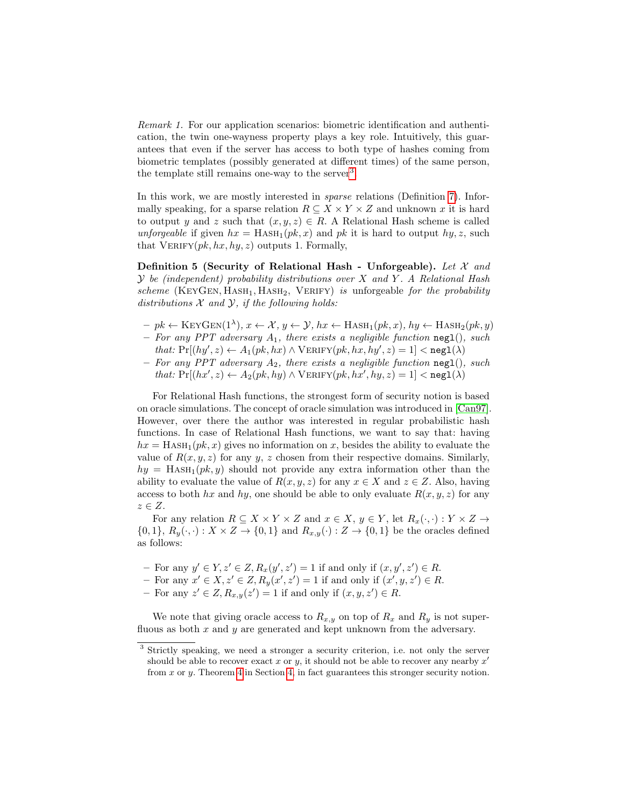Remark 1. For our application scenarios: biometric identification and authentication, the twin one-wayness property plays a key role. Intuitively, this guarantees that even if the server has access to both type of hashes coming from biometric templates (possibly generated at different times) of the same person, the template still remains one-way to the server<sup>[3](#page-7-0)</sup>.

In this work, we are mostly interested in sparse relations (Definition [7\)](#page-13-1). Informally speaking, for a sparse relation  $R \subseteq X \times Y \times Z$  and unknown x it is hard to output y and z such that  $(x, y, z) \in R$ . A Relational Hash scheme is called unforgeable if given  $hx = HASH_1(pk, x)$  and pk it is hard to output  $hy, z$ , such that VERIFY $(pk, hx, hy, z)$  outputs 1. Formally,

Definition 5 (Security of Relational Hash - Unforgeable). Let  $\mathcal X$  and  $Y$  be (independent) probability distributions over  $X$  and  $Y$ . A Relational Hash  $scheme$  (KEYGEN,  $HASH<sub>1</sub>$ ,  $HASH<sub>2</sub>$ , VERIFY) is unforgeable for the probability distributions  $X$  and  $Y$ , if the following holds:

- $pk \leftarrow \text{KeyGen}(1^{\lambda}), x \leftarrow \mathcal{X}, y \leftarrow \mathcal{Y}, hx \leftarrow \text{HASH}_1(pk, x), hy \leftarrow \text{HASH}_2(pk, y)$
- For any PPT adversary  $A_1$ , there exists a negligible function negl(), such  $that: \Pr[(hy', z) \leftarrow A_1(pk, hx) \land \text{VERIFY}(pk, hx, hy', z) = 1] < \texttt{negl}(\lambda)$
- For any PPT adversary  $A_2$ , there exists a negligible function negl(), such  $that: \Pr[(hx', z) \leftarrow A_2(pk, hy) \land \text{VERIFY}(pk, hx', hy, z) = 1] < \texttt{negl}(\lambda)$

For Relational Hash functions, the strongest form of security notion is based on oracle simulations. The concept of oracle simulation was introduced in [\[Can97\]](#page-18-0). However, over there the author was interested in regular probabilistic hash functions. In case of Relational Hash functions, we want to say that: having  $hx =$ HASH<sub>1</sub> $(pk, x)$  gives no information on x, besides the ability to evaluate the value of  $R(x, y, z)$  for any y, z chosen from their respective domains. Similarly,  $hy = HASH_1(pk, y)$  should not provide any extra information other than the ability to evaluate the value of  $R(x, y, z)$  for any  $x \in X$  and  $z \in Z$ . Also, having access to both hx and hy, one should be able to only evaluate  $R(x, y, z)$  for any  $z \in Z$ .

For any relation  $R \subseteq X \times Y \times Z$  and  $x \in X$ ,  $y \in Y$ , let  $R_x(\cdot, \cdot) : Y \times Z \to Y$  $\{0,1\}, R_y(\cdot, \cdot): X \times Z \to \{0,1\}$  and  $R_{x,y}(\cdot): Z \to \{0,1\}$  be the oracles defined as follows:

- For any  $y' \in Y, z' \in Z, R_x(y', z') = 1$  if and only if  $(x, y', z') \in R$ .
- − For any  $x' \in X$ ,  $z' \in Z$ ,  $R_y(x', z') = 1$  if and only if  $(x', y, z') \in R$ .
- For any  $z' \in Z$ ,  $R_{x,y}(z') = 1$  if and only if  $(x, y, z') \in R$ .

We note that giving oracle access to  $R_{x,y}$  on top of  $R_x$  and  $R_y$  is not superfluous as both  $x$  and  $y$  are generated and kept unknown from the adversary.

<span id="page-7-0"></span><sup>3</sup> Strictly speaking, we need a stronger a security criterion, i.e. not only the server should be able to recover exact x or y, it should not be able to recover any nearby  $x'$ from x or y. Theorem [4](#page-12-1) in Section [4,](#page-10-0) in fact guarantees this stronger security notion.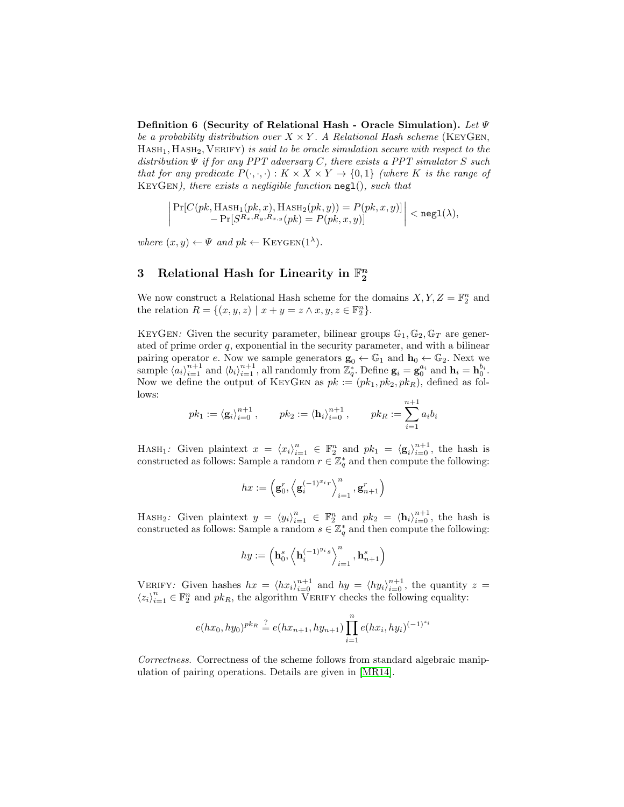Definition 6 (Security of Relational Hash - Oracle Simulation). Let  $\Psi$ be a probability distribution over  $X \times Y$ . A Relational Hash scheme (KEYGEN,  $HASH<sub>1</sub>, HASH<sub>2</sub>, VERIFY)$  is said to be oracle simulation secure with respect to the distribution  $\Psi$  if for any PPT adversary C, there exists a PPT simulator S such that for any predicate  $P(\cdot,\cdot,\cdot): K \times X \times Y \to \{0,1\}$  (where K is the range of KeyGen), there exists a negligible function negl(), such that

 $\begin{array}{c} \hline \rule{0pt}{2.5ex} \\ \rule{0pt}{2.5ex} \end{array}$  $Pr[C(pk, \text{HASH}_1(pk, x), \text{HASH}_2(pk, y)) = P(pk, x, y)]$  $-Pr[S^{R_x,R_y,R_x,y}(pk) = P(pk,x,y)]$  $\begin{array}{c} \begin{array}{c} \begin{array}{c} \end{array}\\ \begin{array}{c} \end{array} \end{array} \end{array}$  $<\texttt{negl}(\lambda),$ 

where  $(x, y) \leftarrow \Psi$  and  $pk \leftarrow$  KEYGEN(1<sup> $\lambda$ </sup>).

#### <span id="page-8-0"></span>3 Relational Hash for Linearity in  $\mathbb{F}_2^n$ 2

We now construct a Relational Hash scheme for the domains  $X, Y, Z = \mathbb{F}_2^n$  and the relation  $R = \{(x, y, z) \mid x + y = z \land x, y, z \in \mathbb{F}_2^n\}.$ 

KEYGEN: Given the security parameter, bilinear groups  $\mathbb{G}_1, \mathbb{G}_2, \mathbb{G}_T$  are generated of prime order q, exponential in the security parameter, and with a bilinear pairing operator e. Now we sample generators  $\mathbf{g}_0 \leftarrow \mathbb{G}_1$  and  $\mathbf{h}_0 \leftarrow \mathbb{G}_2$ . Next we sample  $\langle a_i \rangle_{i=1}^{n+1}$  and  $\langle b_i \rangle_{i=1}^{n+1}$ , all randomly from  $\mathbb{Z}_q^*$ . Define  $\mathbf{g}_i = \mathbf{g}_0^{a_i}$  and  $\mathbf{h}_i = \mathbf{h}_0^{b_i}$ . Now we define the output of KEYGEN as  $pk := (pk_1, pk_2, pk_R)$ , defined as follows:

$$
pk_1 := \langle \mathbf{g}_i \rangle_{i=0}^{n+1}, \qquad pk_2 := \langle \mathbf{h}_i \rangle_{i=0}^{n+1}, \qquad pk_R := \sum_{i=1}^{n+1} a_i b_i
$$

HASH<sub>1</sub>: Given plaintext  $x = \langle x_i \rangle_{i=1}^n \in \mathbb{F}_2^n$  and  $pk_1 = \langle g_i \rangle_{i=0}^{n+1}$ , the hash is constructed as follows: Sample a random  $r \in \mathbb{Z}_q^*$  and then compute the following:

$$
hx := \left(\mathbf{g}_0^r, \left\langle \mathbf{g}_i^{(-1)^{x_i}r} \right\rangle_{i=1}^n, \mathbf{g}_{n+1}^r \right)
$$

HASH<sub>2</sub>: Given plaintext  $y = \langle y_i \rangle_{i=1}^n \in \mathbb{F}_2^n$  and  $pk_2 = \langle h_i \rangle_{i=0}^{n+1}$ , the hash is constructed as follows: Sample a random  $s \in \mathbb{Z}_q^*$  and then compute the following:

$$
hy:=\left(\mathbf{h}_0^s,\left\langle\mathbf{h}_i^{(-1)^{y_i}s}\right\rangle_{i=1}^n,\mathbf{h}_{n+1}^s\right)
$$

VERIFY: Given hashes  $hx = \langle hx_i \rangle_{i=0}^{n+1}$  and  $hy = \langle hy_i \rangle_{i=0}^{n+1}$ , the quantity  $z =$  $\langle z_i \rangle_{i=1}^n \in \mathbb{F}_2^n$  and  $pk_R$ , the algorithm VERIFY checks the following equality:

$$
e(hx_0, hy_0)^{pk_R} \stackrel{?}{=} e(hx_{n+1}, hy_{n+1}) \prod_{i=1}^n e(hx_i, hy_i)^{(-1)^{z_i}}
$$

Correctness. Correctness of the scheme follows from standard algebraic manipulation of pairing operations. Details are given in [\[MR14\]](#page-19-0).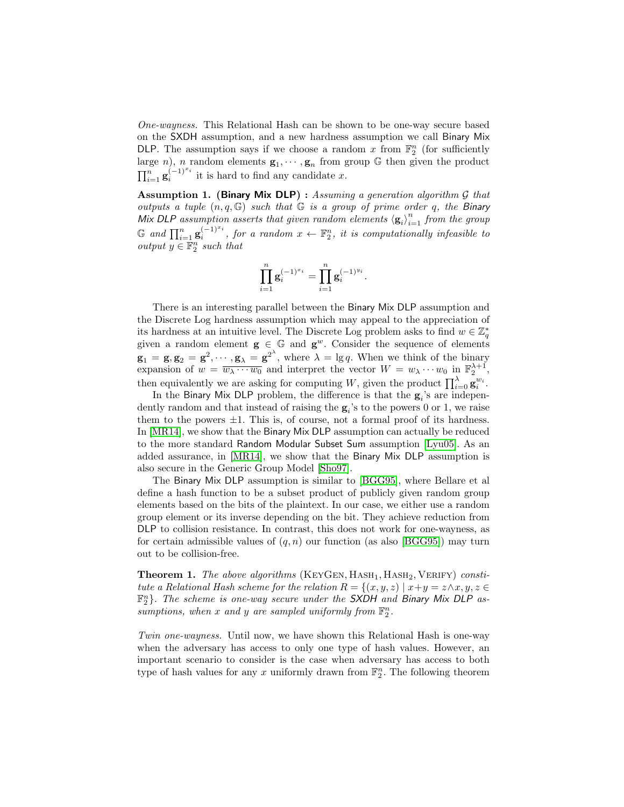One-wayness. This Relational Hash can be shown to be one-way secure based on the SXDH assumption, and a new hardness assumption we call Binary Mix DLP. The assumption says if we choose a random x from  $\mathbb{F}_2^n$  (for sufficiently large n), n random elements  $\mathbf{g}_1, \dots, \mathbf{g}_n$  from group G then given the product  $\prod_{i=1}^n$   $\mathbf{g}_i^{(-1)^{x_i}}$  it is hard to find any candidate x.

Assumption 1. (Binary Mix DLP) : Assuming a generation algorithm  $\mathcal G$  that outputs a tuple  $(n, q, \mathbb{G})$  such that  $\mathbb G$  is a group of prime order q, the Binary Mix DLP assumption asserts that given random elements  $\langle \mathbf{g}_i \rangle_{i=1}^n$  from the group G and  $\prod_{i=1}^n \mathbf{g}_i^{(-1)^{x_i}}$ , for a random  $x \leftarrow \mathbb{F}_2^n$ , it is computationally infeasible to *output*  $y \in \mathbb{F}_2^n$  *such that* 

$$
\prod_{i=1}^n \mathbf{g}_i^{(-1)^{x_i}} = \prod_{i=1}^n \mathbf{g}_i^{(-1)^{y_i}}
$$

.

There is an interesting parallel between the Binary Mix DLP assumption and the Discrete Log hardness assumption which may appeal to the appreciation of its hardness at an intuitive level. The Discrete Log problem asks to find  $w \in \mathbb{Z}_q^*$ the natures at an intuitive level. The Discrete Log problem asks to find  $w \in \mathbb{Z}_q$ <br>given a random element  $g \in \mathbb{G}$  and  $g^w$ . Consider the sequence of elements  $\mathbf{g}_1 = \mathbf{g}, \mathbf{g}_2 = \mathbf{g}^2, \cdots, \mathbf{g}_{\lambda} = \mathbf{g}^{2^{\lambda}}, \text{ where } \lambda = \lg q. \text{ When we think of the binary}$ expansion of  $w = \overline{w_{\lambda} \cdots w_0}$  and interpret the vector  $W = w_{\lambda} \cdots w_0$  in  $\mathbb{F}_2^{\lambda+1}$ , then equivalently we are asking for computing W, given the product  $\prod_{i=0}^{\lambda} \mathbf{g}_{i}^{w_{i}}$ .

In the Binary Mix DLP problem, the difference is that the  $g_i$ 's are independently random and that instead of raising the  $g_i$ 's to the powers 0 or 1, we raise them to the powers  $\pm 1$ . This is, of course, not a formal proof of its hardness. In [\[MR14\]](#page-19-0), we show that the Binary Mix DLP assumption can actually be reduced to the more standard Random Modular Subset Sum assumption [\[Lyu05\]](#page-19-4). As an added assurance, in [\[MR14\]](#page-19-0), we show that the Binary Mix DLP assumption is also secure in the Generic Group Model [\[Sho97\]](#page-19-5).

The Binary Mix DLP assumption is similar to [\[BGG95\]](#page-18-11), where Bellare et al define a hash function to be a subset product of publicly given random group elements based on the bits of the plaintext. In our case, we either use a random group element or its inverse depending on the bit. They achieve reduction from DLP to collision resistance. In contrast, this does not work for one-wayness, as for certain admissible values of  $(q, n)$  our function (as also [\[BGG95\]](#page-18-11)) may turn out to be collision-free.

**Theorem 1.** The above algorithms (KEYGEN,  $HASH_1$ ,  $HASH_2$ ,  $VERIFY)$  constitute a Relational Hash scheme for the relation  $R = \{(x, y, z) | x+y = z \land x, y, z \in$  $\mathbb{F}_2^n$ . The scheme is one-way secure under the SXDH and Binary Mix DLP assumptions, when x and y are sampled uniformly from  $\mathbb{F}_2^n$ .

Twin one-wayness. Until now, we have shown this Relational Hash is one-way when the adversary has access to only one type of hash values. However, an important scenario to consider is the case when adversary has access to both type of hash values for any x uniformly drawn from  $\mathbb{F}_2^n$ . The following theorem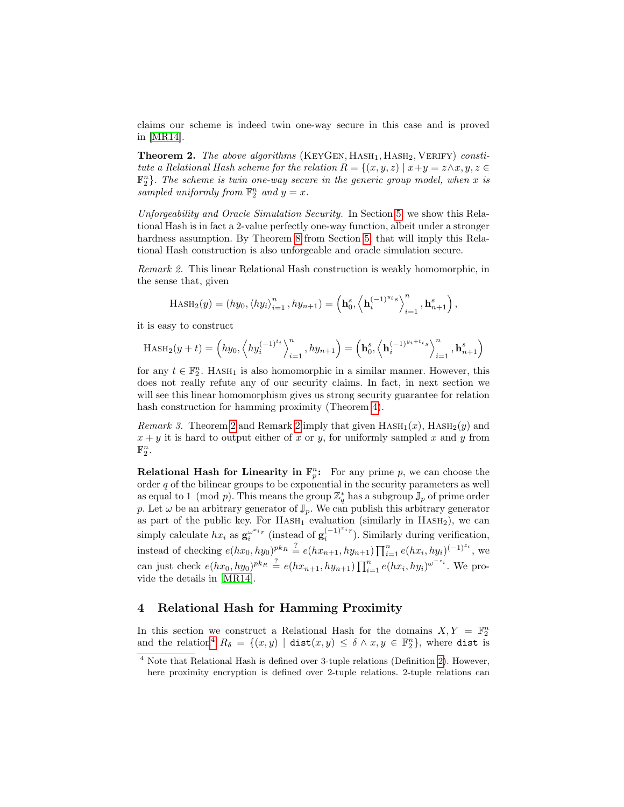claims our scheme is indeed twin one-way secure in this case and is proved in [\[MR14\]](#page-19-0).

<span id="page-10-1"></span>**Theorem 2.** The above algorithms  $(KEYGEN, HASH<sub>1</sub>, HASH<sub>2</sub>, VERIFY)$  constitute a Relational Hash scheme for the relation  $R = \{(x, y, z) | x+y = z \land x, y, z \in$  $\mathbb{F}_2^n$ . The scheme is twin one-way secure in the generic group model, when x is sampled uniformly from  $\mathbb{F}_2^n$  and  $y = x$ .

Unforgeability and Oracle Simulation Security. In Section [5,](#page-17-0) we show this Relational Hash is in fact a 2-value perfectly one-way function, albeit under a stronger hardness assumption. By Theorem [8](#page-16-0) from Section [5,](#page-13-0) that will imply this Relational Hash construction is also unforgeable and oracle simulation secure.

<span id="page-10-2"></span>Remark 2. This linear Relational Hash construction is weakly homomorphic, in the sense that, given

$$
\mathrm{HasH}_2(y) = (hy_0, \langle hy_i \rangle_{i=1}^n, hy_{n+1}) = \left(\mathbf{h}_0^s, \left\langle \mathbf{h}_i^{(-1)^{y_i}s} \right\rangle_{i=1}^n, \mathbf{h}_{n+1}^s \right),
$$

it is easy to construct

$$
\text{HasH}_2(y+t) = \left(hy_0, \left\langle hy_i^{(-1)^{t_i}} \right\rangle_{i=1}^n, hy_{n+1}\right) = \left(\mathbf{h}_0^s, \left\langle \mathbf{h}_i^{(-1)^{y_i+t_i}s} \right\rangle_{i=1}^n, \mathbf{h}_{n+1}^s\right)
$$

for any  $t \in \mathbb{F}_2^n$ . HASH<sub>1</sub> is also homomorphic in a similar manner. However, this does not really refute any of our security claims. In fact, in next section we will see this linear homomorphism gives us strong security guarantee for relation hash construction for hamming proximity (Theorem [4\)](#page-12-1).

Remark 3. Theorem [2](#page-10-2) and Remark 2 imply that given  $HASH_1(x)$ ,  $HASH_2(y)$  and  $x + y$  it is hard to output either of x or y, for uniformly sampled x and y from  $\mathbb{F}_2^n$ .

**Relational Hash for Linearity in**  $\mathbb{F}_p^n$ : For any prime p, we can choose the order  $q$  of the bilinear groups to be exponential in the security parameters as well as equal to 1 (mod p). This means the group  $\mathbb{Z}_q^*$  has a subgroup  $\mathbb{J}_p$  of prime order p. Let  $\omega$  be an arbitrary generator of  $\mathbb{J}_p$ . We can publish this arbitrary generator as part of the public key. For  $HASH_1$  evaluation (similarly in  $HASH_2$ ), we can simply calculate  $hx_i$  as  $\mathbf{g}_i^{\omega^{x_i}r}$  (instead of  $\mathbf{g}_i^{(-1)^{x_i}r}$ ). Similarly during verification, instead of checking  $e(hx_0, hy_0)^{pk_R} \stackrel{?}{=} e(hx_{n+1}, hy_{n+1}) \prod_{i=1}^n e(hx_i, hy_i)^{(-1)^{z_i}}$ , we can just check  $e(hx_0, hy_0)^{p k_R} \stackrel{?}{=} e(hx_{n+1}, hy_{n+1}) \prod_{i=1}^n e(hx_i, hy_i)^{\omega^{-z_i}}$ . We provide the details in [\[MR14\]](#page-19-0).

# <span id="page-10-0"></span>4 Relational Hash for Hamming Proximity

In this section we construct a Relational Hash for the domains  $X, Y = \mathbb{F}_2^n$ and the relation<sup>[4](#page-10-3)</sup>  $R_{\delta} = \{(x, y) \mid \text{dist}(x, y) \leq \delta \wedge x, y \in \mathbb{F}_2^n\}$ , where dist is

<span id="page-10-3"></span><sup>4</sup> Note that Relational Hash is defined over 3-tuple relations (Definition [2\)](#page-5-1). However, here proximity encryption is defined over 2-tuple relations. 2-tuple relations can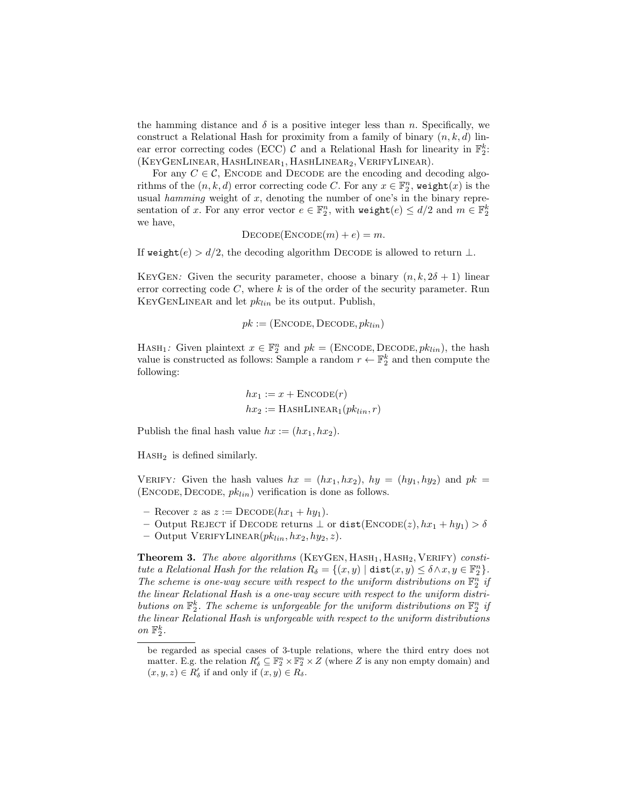the hamming distance and  $\delta$  is a positive integer less than n. Specifically, we construct a Relational Hash for proximity from a family of binary  $(n, k, d)$  linear error correcting codes (ECC)  $\mathcal C$  and a Relational Hash for linearity in  $\mathbb F_2^k$ . (KEYGENLINEAR, HASHLINEAR1, HASHLINEAR2, VERIFYLINEAR).

For any  $C \in \mathcal{C}$ , ENCODE and DECODE are the encoding and decoding algorithms of the  $(n, k, d)$  error correcting code C. For any  $x \in \mathbb{F}_2^n$ , weight $(x)$  is the usual hamming weight of  $x$ , denoting the number of one's in the binary representation of x. For any error vector  $e \in \mathbb{F}_2^n$ , with  $\mathsf{weight}(e) \leq d/2$  and  $m \in \mathbb{F}_2^k$ we have,

DECODE(ENCODE $(m) + e$ ) = m.

If weight(e) >  $d/2$ , the decoding algorithm DECODE is allowed to return  $\perp$ .

KEYGEN: Given the security parameter, choose a binary  $(n, k, 2\delta + 1)$  linear error correcting code  $C$ , where k is of the order of the security parameter. Run  $KEYGENLINEAR$  and let  $pk_{lin}$  be its output. Publish,

$$
pk := (ENCODE, DECODE, pk_{lin})
$$

HASH<sub>1</sub>: Given plaintext  $x \in \mathbb{F}_2^n$  and  $pk = ( \text{ENCODE}, \text{DECODE}, pk_{lin}),$  the hash value is constructed as follows: Sample a random  $r \leftarrow \mathbb{F}_2^k$  and then compute the following:

$$
hx_1 := x + \text{ENCODE}(r)
$$

$$
hx_2 := \text{HASHLINEAR}_1(pk_{lin}, r)
$$

Publish the final hash value  $hx := (hx_1, hx_2)$ .

 $HASH<sub>2</sub>$  is defined similarly.

VERIFY: Given the hash values  $hx = (hx_1, hx_2), hy = (hy_1, hy_2)$  and  $pk =$ (ENCODE, DECODE,  $pk_{lin}$ ) verification is done as follows.

- Recover z as  $z := \text{DECODE}(hx_1 + hy_1)$ .
- Output REJECT if DECODE returns  $\perp$  or dist(ENCODE(*z*),  $hx_1 + hy_1$ ) >  $\delta$
- Output VERIFYLINEAR $(pk_{lin}, hx_2, hy_2, z)$ .

<span id="page-11-0"></span>**Theorem 3.** The above algorithms  $(KEYGEN, HASH_1, HASH_2, VERIFY)$  constitute a Relational Hash for the relation  $R_{\delta} = \{(x, y) \mid \text{dist}(x, y) \leq \delta \wedge x, y \in \mathbb{F}_2^n\}.$ The scheme is one-way secure with respect to the uniform distributions on  $\mathbb{F}_2^n$  if the linear Relational Hash is a one-way secure with respect to the uniform distributions on  $\mathbb{F}_2^k$ . The scheme is unforgeable for the uniform distributions on  $\mathbb{F}_2^n$  if the linear Relational Hash is unforgeable with respect to the uniform distributions on  $\mathbb{F}_2^k$ .

be regarded as special cases of 3-tuple relations, where the third entry does not matter. E.g. the relation  $R'_\delta \subseteq \mathbb{F}_2^n \times \mathbb{F}_2^n \times Z$  (where Z is any non empty domain) and  $(x, y, z) \in R'_\delta$  if and only if  $(x, y) \in R_\delta$ .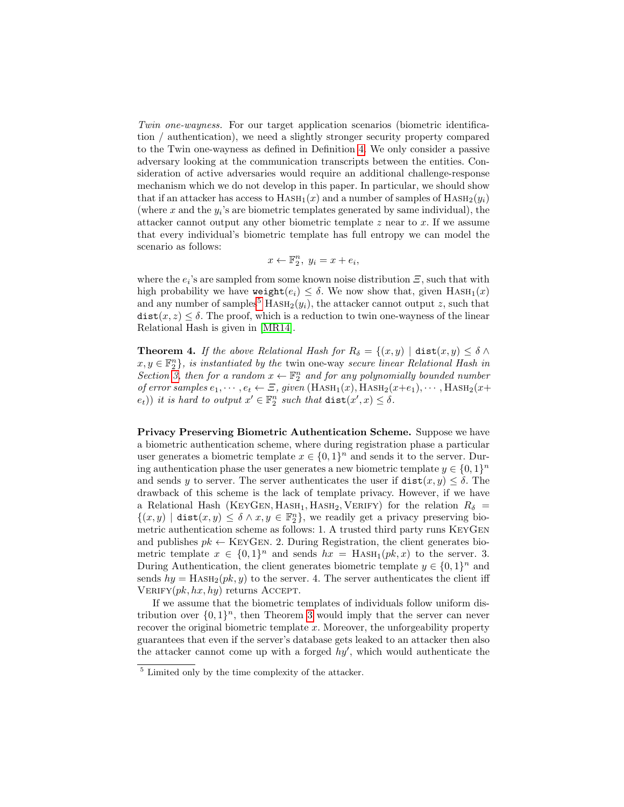Twin one-wayness. For our target application scenarios (biometric identification / authentication), we need a slightly stronger security property compared to the Twin one-wayness as defined in Definition [4.](#page-6-0) We only consider a passive adversary looking at the communication transcripts between the entities. Consideration of active adversaries would require an additional challenge-response mechanism which we do not develop in this paper. In particular, we should show that if an attacker has access to  $HASH_1(x)$  and a number of samples of  $HASH_2(y_i)$ (where  $x$  and the  $y_i$ 's are biometric templates generated by same individual), the attacker cannot output any other biometric template  $z$  near to  $x$ . If we assume that every individual's biometric template has full entropy we can model the scenario as follows:

$$
x \leftarrow \mathbb{F}_2^n, \ y_i = x + e_i,
$$

where the  $e_i$ 's are sampled from some known noise distribution  $\mathcal{Z}$ , such that with high probability we have  $\text{weight}(e_i) \leq \delta$ . We now show that, given  $\text{HASH}_1(x)$ and any number of samples<sup>[5](#page-12-2)</sup> HASH<sub>2</sub>(y<sub>i</sub>), the attacker cannot output z, such that  $dist(x, z) \leq \delta$ . The proof, which is a reduction to twin one-wayness of the linear Relational Hash is given in [\[MR14\]](#page-19-0).

<span id="page-12-1"></span>**Theorem 4.** If the above Relational Hash for  $R_{\delta} = \{(x, y) \mid \text{dist}(x, y) \leq \delta \wedge \delta\}$  $x, y \in \mathbb{F}_2^n$ , is instantiated by the twin one-way secure linear Relational Hash in Section [3,](#page-8-0) then for a random  $x \leftarrow \mathbb{F}_2^n$  and for any polynomially bounded number of error samples  $e_1, \dots, e_t \leftarrow \Xi$ , given  $(HASH_1(x), HASH_2(x+e_1), \dots, HASH_2(x+e_t))$  $(e_t)$ ) it is hard to output  $x' \in \mathbb{F}_2^n$  such that  $dist(x', x) \leq \delta$ .

<span id="page-12-0"></span>Privacy Preserving Biometric Authentication Scheme. Suppose we have a biometric authentication scheme, where during registration phase a particular user generates a biometric template  $x \in \{0,1\}^n$  and sends it to the server. During authentication phase the user generates a new biometric template  $y \in \{0,1\}^n$ and sends y to server. The server authenticates the user if  $dist(x, y) \leq \delta$ . The drawback of this scheme is the lack of template privacy. However, if we have a Relational Hash (KEYGEN, HASH<sub>1</sub>, HASH<sub>2</sub>, VERIFY) for the relation  $R_{\delta}$  =  $\{(x,y) \mid \text{dist}(x,y) \leq \delta \wedge x, y \in \mathbb{F}_2^n\},\$ we readily get a privacy preserving biometric authentication scheme as follows: 1. A trusted third party runs KeyGen and publishes  $pk \leftarrow \text{KEYGEN. 2. During Region, the client generates bio-}$ metric template  $x \in \{0,1\}^n$  and sends  $hx = \text{HASH}_1(pk, x)$  to the server. 3. During Authentication, the client generates biometric template  $y \in \{0, 1\}^n$  and sends  $hy = \text{HASH}_2(pk, y)$  to the server. 4. The server authenticates the client iff VERIFY $(pk, hx, hy)$  returns ACCEPT.

If we assume that the biometric templates of individuals follow uniform distribution over  $\{0,1\}^n$ , then Theorem [3](#page-11-0) would imply that the server can never recover the original biometric template  $x$ . Moreover, the unforgeability property guarantees that even if the server's database gets leaked to an attacker then also the attacker cannot come up with a forged  $hy'$ , which would authenticate the

<span id="page-12-2"></span><sup>5</sup> Limited only by the time complexity of the attacker.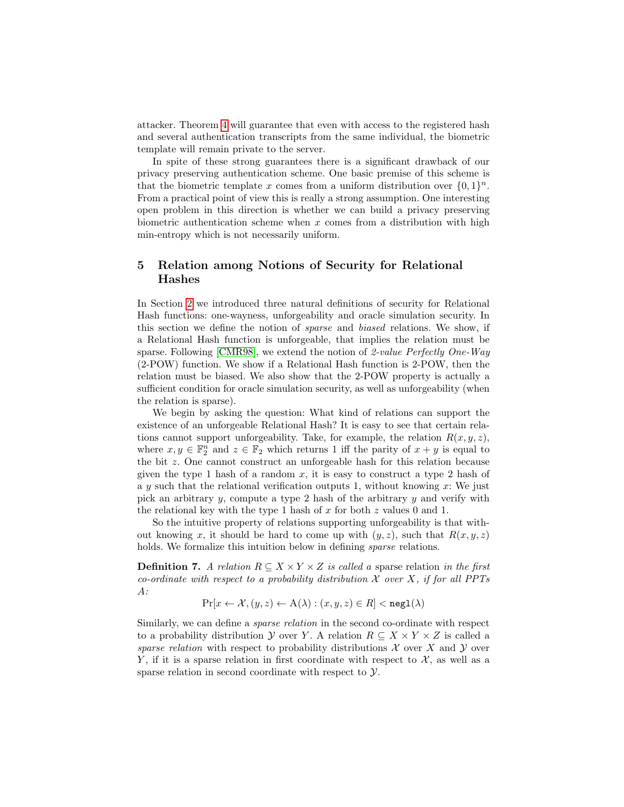attacker. Theorem [4](#page-12-1) will guarantee that even with access to the registered hash and several authentication transcripts from the same individual, the biometric template will remain private to the server.

In spite of these strong guarantees there is a significant drawback of our privacy preserving authentication scheme. One basic premise of this scheme is that the biometric template x comes from a uniform distribution over  $\{0,1\}^n$ . From a practical point of view this is really a strong assumption. One interesting open problem in this direction is whether we can build a privacy preserving biometric authentication scheme when  $x$  comes from a distribution with high min-entropy which is not necessarily uniform.

# <span id="page-13-0"></span>5 Relation among Notions of Security for Relational Hashes

In Section [2](#page-5-0) we introduced three natural definitions of security for Relational Hash functions: one-wayness, unforgeability and oracle simulation security. In this section we define the notion of sparse and biased relations. We show, if a Relational Hash function is unforgeable, that implies the relation must be sparse. Following [\[CMR98\]](#page-18-1), we extend the notion of 2-value Perfectly One-Way (2-POW) function. We show if a Relational Hash function is 2-POW, then the relation must be biased. We also show that the 2-POW property is actually a sufficient condition for oracle simulation security, as well as unforgeability (when the relation is sparse).

We begin by asking the question: What kind of relations can support the existence of an unforgeable Relational Hash? It is easy to see that certain relations cannot support unforgeability. Take, for example, the relation  $R(x, y, z)$ , where  $x, y \in \mathbb{F}_2^n$  and  $z \in \mathbb{F}_2$  which returns 1 iff the parity of  $x + y$  is equal to the bit z. One cannot construct an unforgeable hash for this relation because given the type 1 hash of a random  $x$ , it is easy to construct a type 2 hash of a y such that the relational verification outputs 1, without knowing  $x$ : We just pick an arbitrary  $y$ , compute a type 2 hash of the arbitrary  $y$  and verify with the relational key with the type 1 hash of  $x$  for both  $z$  values 0 and 1.

So the intuitive property of relations supporting unforgeability is that without knowing x, it should be hard to come up with  $(y, z)$ , such that  $R(x, y, z)$ holds. We formalize this intuition below in defining sparse relations.

<span id="page-13-1"></span>**Definition 7.** A relation  $R \subseteq X \times Y \times Z$  is called a sparse relation in the first co-ordinate with respect to a probability distribution  $X$  over X, if for all PPTs A:

$$
\Pr[x \leftarrow \mathcal{X}, (y, z) \leftarrow A(\lambda) : (x, y, z) \in R] < \texttt{negl}(\lambda)
$$

Similarly, we can define a sparse relation in the second co-ordinate with respect to a probability distribution Y over Y. A relation  $R \subseteq X \times Y \times Z$  is called a sparse relation with respect to probability distributions  $\mathcal X$  over X and Y over Y, if it is a sparse relation in first coordinate with respect to  $\mathcal{X}$ , as well as a sparse relation in second coordinate with respect to Y.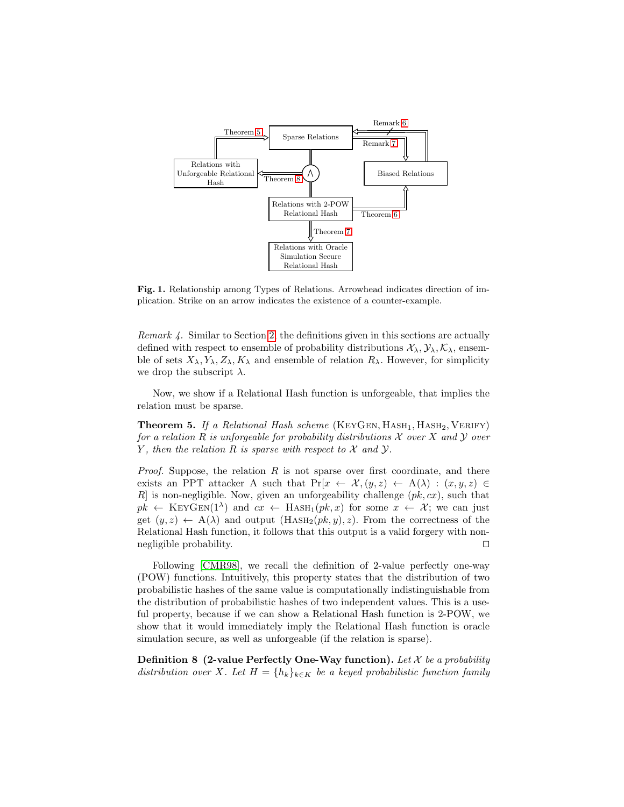

Fig. 1. Relationship among Types of Relations. Arrowhead indicates direction of implication. Strike on an arrow indicates the existence of a counter-example.

Remark 4. Similar to Section [2,](#page-5-0) the definitions given in this sections are actually defined with respect to ensemble of probability distributions  $\mathcal{X}_{\lambda}, \mathcal{Y}_{\lambda}, \mathcal{K}_{\lambda}$ , ensemble of sets  $X_{\lambda}, Y_{\lambda}, Z_{\lambda}, K_{\lambda}$  and ensemble of relation  $R_{\lambda}$ . However, for simplicity we drop the subscript  $\lambda$ .

<span id="page-14-0"></span>Now, we show if a Relational Hash function is unforgeable, that implies the relation must be sparse.

**Theorem 5.** If a Relational Hash scheme  $(KEYGEN, HASH_1, HASH_2, VERIFY)$ for a relation R is unforgeable for probability distributions  $\mathcal X$  over X and  $\mathcal Y$  over Y, then the relation R is sparse with respect to  $\mathcal X$  and  $\mathcal Y$ .

*Proof.* Suppose, the relation  $R$  is not sparse over first coordinate, and there exists an PPT attacker A such that  $Pr[x \leftarrow \mathcal{X}, (y, z) \leftarrow A(\lambda) : (x, y, z) \in$ R is non-negligible. Now, given an unforgeability challenge  $(pk, cx)$ , such that  $pk \leftarrow \text{KEYGEN}(1^{\lambda})$  and  $cx \leftarrow \text{HASH}_1(pk, x)$  for some  $x \leftarrow \mathcal{X}$ ; we can just get  $(y, z) \leftarrow A(\lambda)$  and output  $(HASH_2(pk, y), z)$ . From the correctness of the Relational Hash function, it follows that this output is a valid forgery with non- $\Box$  negligible probability.  $\Box$ 

Following [\[CMR98\]](#page-18-1), we recall the definition of 2-value perfectly one-way (POW) functions. Intuitively, this property states that the distribution of two probabilistic hashes of the same value is computationally indistinguishable from the distribution of probabilistic hashes of two independent values. This is a useful property, because if we can show a Relational Hash function is 2-POW, we show that it would immediately imply the Relational Hash function is oracle simulation secure, as well as unforgeable (if the relation is sparse).

**Definition 8 (2-value Perfectly One-Way function).** Let  $\mathcal{X}$  be a probability distribution over X. Let  $H = \{h_k\}_{k \in K}$  be a keyed probabilistic function family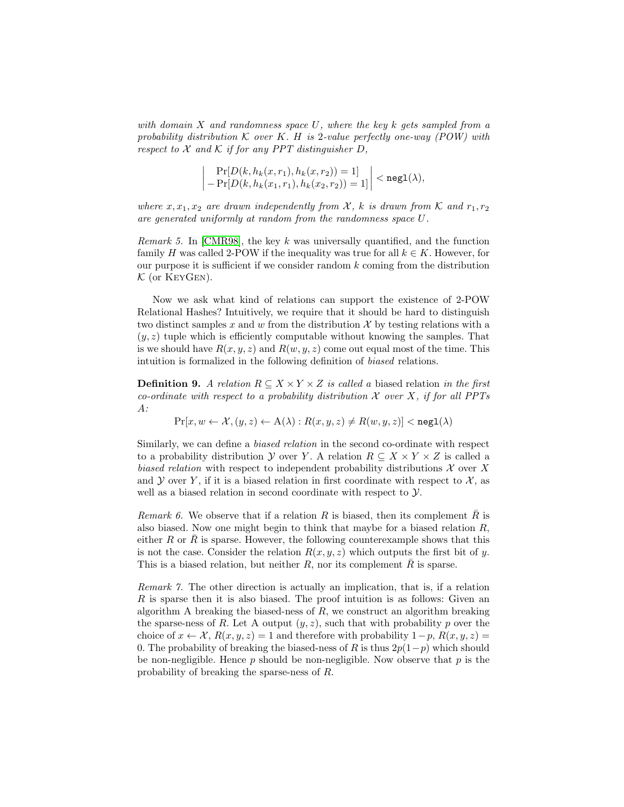with domain X and randomness space U, where the key k gets sampled from a probability distribution K over K. H is 2-value perfectly one-way (POW) with respect to  $X$  and  $K$  if for any PPT distinguisher  $D$ ,

$$
\left| \begin{array}{c} \Pr[D(k, h_k(x, r_1), h_k(x, r_2)) = 1] \\ -\Pr[D(k, h_k(x_1, r_1), h_k(x_2, r_2)) = 1] \end{array} \right| < \texttt{negl}(\lambda),
$$

where  $x, x_1, x_2$  are drawn independently from X, k is drawn from K and  $r_1, r_2$ are generated uniformly at random from the randomness space U.

*Remark 5.* In [\[CMR98\]](#page-18-1), the key k was universally quantified, and the function family H was called 2-POW if the inequality was true for all  $k \in K$ . However, for our purpose it is sufficient if we consider random k coming from the distribution  $K$  (or KEYGEN).

Now we ask what kind of relations can support the existence of 2-POW Relational Hashes? Intuitively, we require that it should be hard to distinguish two distinct samples x and w from the distribution  $\mathcal X$  by testing relations with a  $(y, z)$  tuple which is efficiently computable without knowing the samples. That is we should have  $R(x, y, z)$  and  $R(w, y, z)$  come out equal most of the time. This intuition is formalized in the following definition of biased relations.

**Definition 9.** A relation  $R \subseteq X \times Y \times Z$  is called a biased relation in the first co-ordinate with respect to a probability distribution  $X$  over  $X$ , if for all PPTs A:

 $Pr[x, w \leftarrow \mathcal{X}, (y, z) \leftarrow A(\lambda) : R(x, y, z) \neq R(w, y, z)] < negl(\lambda)$ 

Similarly, we can define a biased relation in the second co-ordinate with respect to a probability distribution Y over Y. A relation  $R \subseteq X \times Y \times Z$  is called a biased relation with respect to independent probability distributions  $\mathcal X$  over X and Y over Y, if it is a biased relation in first coordinate with respect to  $\mathcal{X}$ , as well as a biased relation in second coordinate with respect to Y.

<span id="page-15-1"></span>Remark 6. We observe that if a relation R is biased, then its complement  $\overline{R}$  is also biased. Now one might begin to think that maybe for a biased relation  $R$ , either R or R is sparse. However, the following counterexample shows that this is not the case. Consider the relation  $R(x, y, z)$  which outputs the first bit of y. This is a biased relation, but neither  $R$ , nor its complement  $\overline{R}$  is sparse.

<span id="page-15-0"></span>Remark 7. The other direction is actually an implication, that is, if a relation R is sparse then it is also biased. The proof intuition is as follows: Given an algorithm A breaking the biased-ness of  $R$ , we construct an algorithm breaking the sparse-ness of R. Let A output  $(y, z)$ , such that with probability p over the choice of  $x \leftarrow \mathcal{X}, R(x, y, z) = 1$  and therefore with probability  $1-p, R(x, y, z) =$ 0. The probability of breaking the biased-ness of R is thus  $2p(1-p)$  which should be non-negligible. Hence  $p$  should be non-negligible. Now observe that  $p$  is the probability of breaking the sparse-ness of R.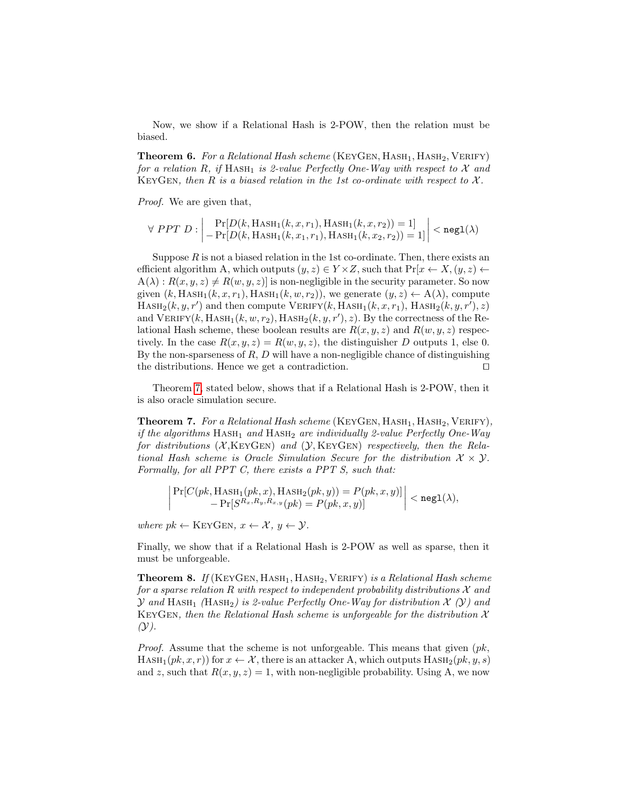<span id="page-16-1"></span>Now, we show if a Relational Hash is 2-POW, then the relation must be biased.

**Theorem 6.** For a Relational Hash scheme  $(KEYGEN, HASH_1, HASH_2, VERIFY)$ for a relation R, if HASH<sub>1</sub> is 2-value Perfectly One-Way with respect to X and KEYGEN, then R is a biased relation in the 1st co-ordinate with respect to  $\mathcal{X}$ .

Proof. We are given that,

$$
\forall PPT D: \left| \begin{array}{c} \Pr[D(k, \text{Hash}_1(k, x, r_1), \text{Hash}_1(k, x, r_2)) = 1] \\ -\Pr[D(k, \text{Hash}_1(k, x_1, r_1), \text{Hash}_1(k, x_2, r_2)) = 1] \end{array} \right| < \texttt{negl}(\lambda)
$$

Suppose  $R$  is not a biased relation in the 1st co-ordinate. Then, there exists an efficient algorithm A, which outputs  $(y, z) \in Y \times Z$ , such that  $Pr[x \leftarrow X, (y, z) \leftarrow$  $A(\lambda): R(x, y, z) \neq R(w, y, z)$  is non-negligible in the security parameter. So now given  $(k, \text{HasH}_1(k, x, r_1), \text{HasH}_1(k, w, r_2))$ , we generate  $(y, z) \leftarrow A(\lambda)$ , compute  $\text{HasH}_2(k, y, r')$  and then compute  $\text{VERIFY}(k, \text{HasH}_1(k, x, r_1), \text{HasH}_2(k, y, r'), z)$ and  $\text{VERIFY}(k, \text{HASH}_1(k, w, r_2), \text{HASH}_2(k, y, r'), z)$ . By the correctness of the Relational Hash scheme, these boolean results are  $R(x, y, z)$  and  $R(w, y, z)$  respectively. In the case  $R(x, y, z) = R(w, y, z)$ , the distinguisher D outputs 1, else 0. By the non-sparseness of  $R, D$  will have a non-negligible chance of distinguishing the distributions. Hence we get a contradiction.  $\Box$ 

Theorem [7,](#page-16-2) stated below, shows that if a Relational Hash is 2-POW, then it is also oracle simulation secure.

<span id="page-16-2"></span>**Theorem 7.** For a Relational Hash scheme  $(KEYGEN, HASH_1, HASH_2, VERIFY)$ , if the algorithms  $HASH_1$  and  $HASH_2$  are individually 2-value Perfectly One-Way for distributions  $(X, KeyK)$  and  $(Y, KeyK)$  respectively, then the Relational Hash scheme is Oracle Simulation Secure for the distribution  $\mathcal{X} \times \mathcal{Y}$ . Formally, for all PPT C, there exists a PPT S, such that:

<span id="page-16-0"></span>
$$
\bigg|\frac{\Pr[C(pk,\text{Hash}_1(pk,x),\text{Hash}_2(pk,y)) = P(pk,x,y)]}{-\Pr[S^{R_x,R_y,R_x,y}(pk) = P(pk,x,y)]}\bigg| < \texttt{negl}(\lambda),
$$

where  $pk \leftarrow$  KEYGEN,  $x \leftarrow \mathcal{X}, y \leftarrow \mathcal{Y}.$ 

Finally, we show that if a Relational Hash is 2-POW as well as sparse, then it must be unforgeable.

**Theorem 8.** If (KEYGEN, HASH<sub>1</sub>, HASH<sub>2</sub>, VERIFY) is a Relational Hash scheme for a sparse relation R with respect to independent probability distributions  $\mathcal X$  and  $\mathcal{Y}$  and HASH<sub>1</sub> (HASH<sub>2</sub>) is 2-value Perfectly One-Way for distribution  $\mathcal{X}$  ( $\mathcal{Y}$ ) and KEYGEN, then the Relational Hash scheme is unforgeable for the distribution  $\mathcal X$  $(Y)$ .

*Proof.* Assume that the scheme is not unforgeable. This means that given  $(pk,$  $HASH_1(pk, x, r)$  for  $x \leftarrow \mathcal{X}$ , there is an attacker A, which outputs  $HASH_2(pk, y, s)$ and z, such that  $R(x, y, z) = 1$ , with non-negligible probability. Using A, we now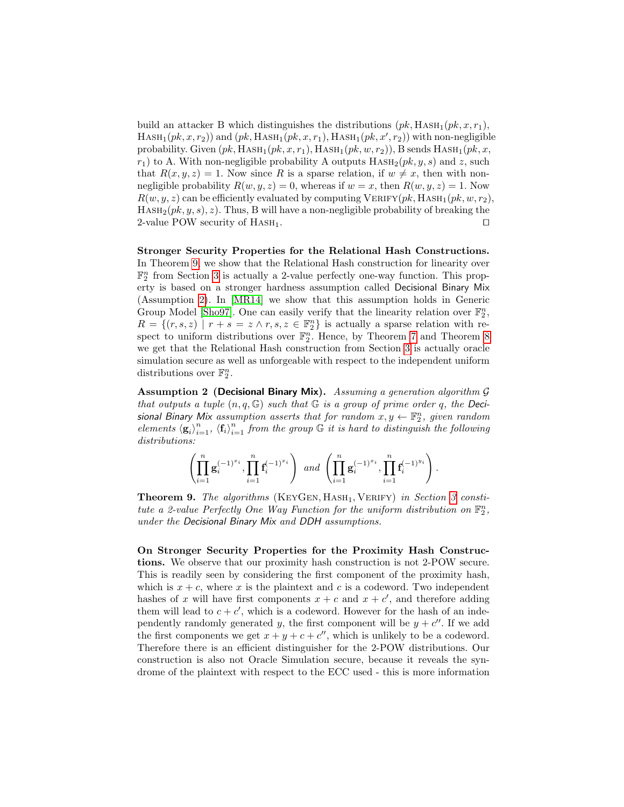build an attacker B which distinguishes the distributions  $(pk, HASH_1(pk, x, r_1),$  $HASH_1(pk, x, r_2)$  and  $(pk, HASH_1(pk, x, r_1), HASH_1(pk, x', r_2))$  with non-negligible probability. Given  $(pk, HASH_1(pk, x, r_1), HASH_1(pk, w, r_2)), B$  sends  $HASH_1(pk, x, r_1)$  $r_1$ ) to A. With non-negligible probability A outputs  $HASH_2(pk, y, s)$  and z, such that  $R(x, y, z) = 1$ . Now since R is a sparse relation, if  $w \neq x$ , then with nonnegligible probability  $R(w, y, z) = 0$ , whereas if  $w = x$ , then  $R(w, y, z) = 1$ . Now  $R(w, y, z)$  can be efficiently evaluated by computing VERIFY(pk, HASH<sub>1</sub>(pk, w, r<sub>2</sub>),  $HASH_2(pk, y, s), z)$ . Thus, B will have a non-negligible probability of breaking the 2-value POW security of HASH<sub>1</sub>.  $\square$ 

<span id="page-17-0"></span>Stronger Security Properties for the Relational Hash Constructions. In Theorem [9,](#page-17-1) we show that the Relational Hash construction for linearity over  $\mathbb{F}_2^n$  from Section [3](#page-8-0) is actually a 2-value perfectly one-way function. This property is based on a stronger hardness assumption called Decisional Binary Mix (Assumption [2\)](#page-17-2). In [\[MR14\]](#page-19-0) we show that this assumption holds in Generic Group Model [\[Sho97\]](#page-19-5). One can easily verify that the linearity relation over  $\mathbb{F}_2^n$ ,  $R = \{(r, s, z) \mid r + s = z \land r, s, z \in \mathbb{F}_2^n\}$  is actually a sparse relation with respect to uniform distributions over  $\mathbb{F}_2^n$ . Hence, by Theorem [7](#page-16-2) and Theorem [8](#page-16-0) we get that the Relational Hash construction from Section [3](#page-8-0) is actually oracle simulation secure as well as unforgeable with respect to the independent uniform distributions over  $\mathbb{F}_2^n$ .

<span id="page-17-2"></span>Assumption 2 (Decisional Binary Mix). Assuming a generation algorithm  $G$ that outputs a tuple  $(n, q, \mathbb{G})$  such that  $\mathbb G$  is a group of prime order q, the Decisional Binary Mix assumption asserts that for random  $x, y \leftarrow \mathbb{F}_2^n$ , given random elements  $\langle g_i \rangle_{i=1}^n$ ,  $\langle f_i \rangle_{i=1}^n$  from the group  $G$  it is hard to distinguish the following distributions:

$$
\left(\prod_{i=1}^n {\bf g}_i^{(-1)^{x_i}}, \prod_{i=1}^n {\bf f}_i^{(-1)^{x_i}}\right)\ and\ \left(\prod_{i=1}^n {\bf g}_i^{(-1)^{x_i}}, \prod_{i=1}^n {\bf f}_i^{(-1)^{y_i}}\right).
$$

<span id="page-17-1"></span>**Theorem 9.** The algorithms  $(KEYGEN, HASH_1, VERIFY)$  in Section [3](#page-8-0) constitute a 2-value Perfectly One Way Function for the uniform distribution on  $\mathbb{F}_2^n$ , under the Decisional Binary Mix and DDH assumptions.

On Stronger Security Properties for the Proximity Hash Constructions. We observe that our proximity hash construction is not 2-POW secure. This is readily seen by considering the first component of the proximity hash, which is  $x + c$ , where x is the plaintext and c is a codeword. Two independent hashes of x will have first components  $x + c$  and  $x + c'$ , and therefore adding them will lead to  $c + c'$ , which is a codeword. However for the hash of an independently randomly generated y, the first component will be  $y + c''$ . If we add the first components we get  $x + y + c + c''$ , which is unlikely to be a codeword. Therefore there is an efficient distinguisher for the 2-POW distributions. Our construction is also not Oracle Simulation secure, because it reveals the syndrome of the plaintext with respect to the ECC used - this is more information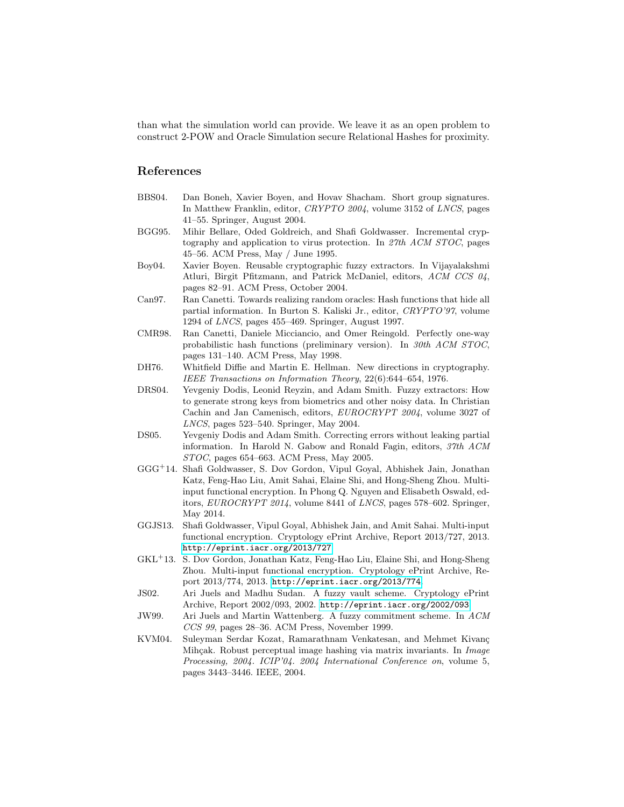than what the simulation world can provide. We leave it as an open problem to construct 2-POW and Oracle Simulation secure Relational Hashes for proximity.

### References

- <span id="page-18-13"></span>BBS04. Dan Boneh, Xavier Boyen, and Hovav Shacham. Short group signatures. In Matthew Franklin, editor, CRYPTO 2004, volume 3152 of LNCS, pages 41–55. Springer, August 2004.
- <span id="page-18-11"></span>BGG95. Mihir Bellare, Oded Goldreich, and Shafi Goldwasser. Incremental cryptography and application to virus protection. In 27th ACM STOC, pages 45–56. ACM Press, May / June 1995.
- <span id="page-18-6"></span>Boy04. Xavier Boyen. Reusable cryptographic fuzzy extractors. In Vijayalakshmi Atluri, Birgit Pfitzmann, and Patrick McDaniel, editors, ACM CCS 04, pages 82–91. ACM Press, October 2004.
- <span id="page-18-0"></span>Can97. Ran Canetti. Towards realizing random oracles: Hash functions that hide all partial information. In Burton S. Kaliski Jr., editor, CRYPTO'97, volume 1294 of LNCS, pages 455–469. Springer, August 1997.
- <span id="page-18-1"></span>CMR98. Ran Canetti, Daniele Micciancio, and Omer Reingold. Perfectly one-way probabilistic hash functions (preliminary version). In 30th ACM STOC, pages 131–140. ACM Press, May 1998.
- <span id="page-18-12"></span>DH76. Whitfield Diffie and Martin E. Hellman. New directions in cryptography. IEEE Transactions on Information Theory, 22(6):644–654, 1976.
- <span id="page-18-4"></span>DRS04. Yevgeniy Dodis, Leonid Reyzin, and Adam Smith. Fuzzy extractors: How to generate strong keys from biometrics and other noisy data. In Christian Cachin and Jan Camenisch, editors, EUROCRYPT 2004, volume 3027 of LNCS, pages 523–540. Springer, May 2004.
- <span id="page-18-5"></span>DS05. Yevgeniy Dodis and Adam Smith. Correcting errors without leaking partial information. In Harold N. Gabow and Ronald Fagin, editors, 37th ACM STOC, pages 654–663. ACM Press, May 2005.
- <span id="page-18-7"></span>GGG<sup>+</sup>14. Shafi Goldwasser, S. Dov Gordon, Vipul Goyal, Abhishek Jain, Jonathan Katz, Feng-Hao Liu, Amit Sahai, Elaine Shi, and Hong-Sheng Zhou. Multiinput functional encryption. In Phong Q. Nguyen and Elisabeth Oswald, editors, EUROCRYPT 2014, volume 8441 of LNCS, pages 578–602. Springer, May 2014.
- <span id="page-18-8"></span>GGJS13. Shafi Goldwasser, Vipul Goyal, Abhishek Jain, and Amit Sahai. Multi-input functional encryption. Cryptology ePrint Archive, Report 2013/727, 2013. <http://eprint.iacr.org/2013/727>.
- <span id="page-18-9"></span>GKL<sup>+</sup>13. S. Dov Gordon, Jonathan Katz, Feng-Hao Liu, Elaine Shi, and Hong-Sheng Zhou. Multi-input functional encryption. Cryptology ePrint Archive, Report 2013/774, 2013. <http://eprint.iacr.org/2013/774>.
- <span id="page-18-2"></span>JS02. Ari Juels and Madhu Sudan. A fuzzy vault scheme. Cryptology ePrint Archive, Report 2002/093, 2002. <http://eprint.iacr.org/2002/093>.
- <span id="page-18-3"></span>JW99. Ari Juels and Martin Wattenberg. A fuzzy commitment scheme. In ACM CCS 99, pages 28–36. ACM Press, November 1999.
- <span id="page-18-10"></span>KVM04. Suleyman Serdar Kozat, Ramarathnam Venkatesan, and Mehmet Kivanç Mihçak. Robust perceptual image hashing via matrix invariants. In Image Processing, 2004. ICIP'04. 2004 International Conference on, volume 5, pages 3443–3446. IEEE, 2004.